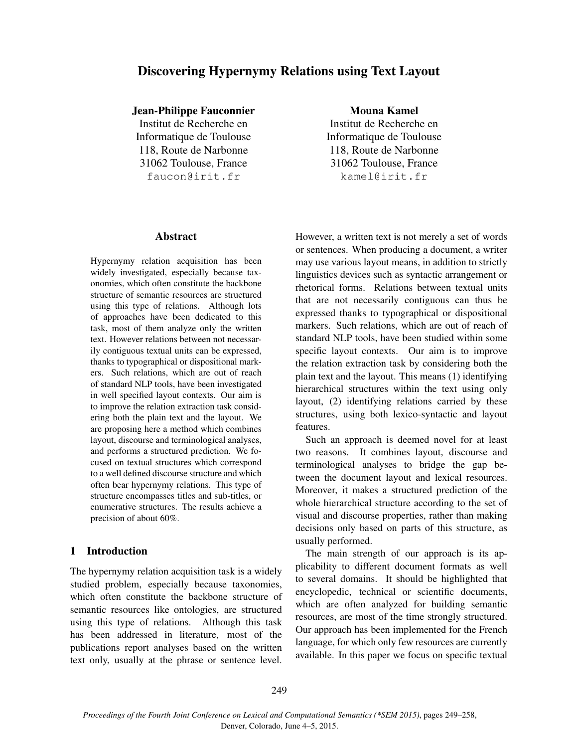# Discovering Hypernymy Relations using Text Layout

Jean-Philippe Fauconnier

Institut de Recherche en Informatique de Toulouse 118, Route de Narbonne 31062 Toulouse, France faucon@irit.fr

### Abstract

Hypernymy relation acquisition has been widely investigated, especially because taxonomies, which often constitute the backbone structure of semantic resources are structured using this type of relations. Although lots of approaches have been dedicated to this task, most of them analyze only the written text. However relations between not necessarily contiguous textual units can be expressed, thanks to typographical or dispositional markers. Such relations, which are out of reach of standard NLP tools, have been investigated in well specified layout contexts. Our aim is to improve the relation extraction task considering both the plain text and the layout. We are proposing here a method which combines layout, discourse and terminological analyses, and performs a structured prediction. We focused on textual structures which correspond to a well defined discourse structure and which often bear hypernymy relations. This type of structure encompasses titles and sub-titles, or enumerative structures. The results achieve a precision of about 60%.

## 1 Introduction

The hypernymy relation acquisition task is a widely studied problem, especially because taxonomies, which often constitute the backbone structure of semantic resources like ontologies, are structured using this type of relations. Although this task has been addressed in literature, most of the publications report analyses based on the written text only, usually at the phrase or sentence level. Mouna Kamel

Institut de Recherche en Informatique de Toulouse 118, Route de Narbonne 31062 Toulouse, France kamel@irit.fr

However, a written text is not merely a set of words or sentences. When producing a document, a writer may use various layout means, in addition to strictly linguistics devices such as syntactic arrangement or rhetorical forms. Relations between textual units that are not necessarily contiguous can thus be expressed thanks to typographical or dispositional markers. Such relations, which are out of reach of standard NLP tools, have been studied within some specific layout contexts. Our aim is to improve the relation extraction task by considering both the plain text and the layout. This means (1) identifying hierarchical structures within the text using only layout, (2) identifying relations carried by these structures, using both lexico-syntactic and layout features.

Such an approach is deemed novel for at least two reasons. It combines layout, discourse and terminological analyses to bridge the gap between the document layout and lexical resources. Moreover, it makes a structured prediction of the whole hierarchical structure according to the set of visual and discourse properties, rather than making decisions only based on parts of this structure, as usually performed.

The main strength of our approach is its applicability to different document formats as well to several domains. It should be highlighted that encyclopedic, technical or scientific documents, which are often analyzed for building semantic resources, are most of the time strongly structured. Our approach has been implemented for the French language, for which only few resources are currently available. In this paper we focus on specific textual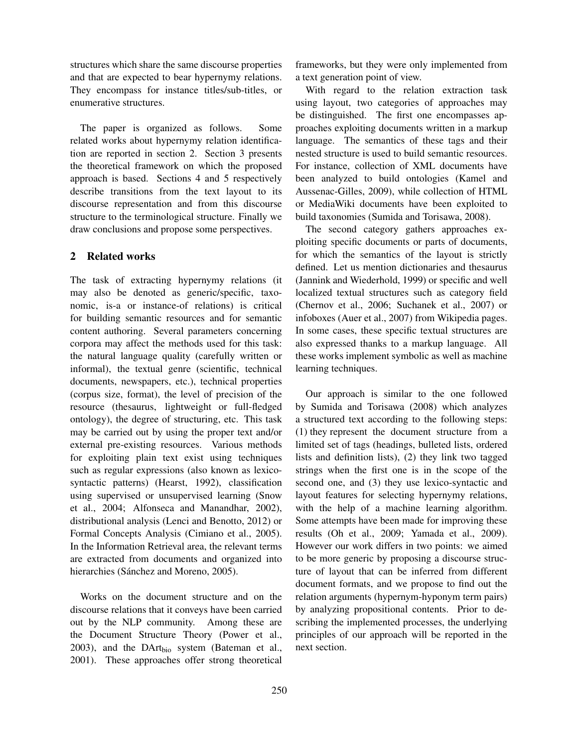structures which share the same discourse properties and that are expected to bear hypernymy relations. They encompass for instance titles/sub-titles, or enumerative structures.

The paper is organized as follows. Some related works about hypernymy relation identification are reported in section 2. Section 3 presents the theoretical framework on which the proposed approach is based. Sections 4 and 5 respectively describe transitions from the text layout to its discourse representation and from this discourse structure to the terminological structure. Finally we draw conclusions and propose some perspectives.

## 2 Related works

The task of extracting hypernymy relations (it may also be denoted as generic/specific, taxonomic, is-a or instance-of relations) is critical for building semantic resources and for semantic content authoring. Several parameters concerning corpora may affect the methods used for this task: the natural language quality (carefully written or informal), the textual genre (scientific, technical documents, newspapers, etc.), technical properties (corpus size, format), the level of precision of the resource (thesaurus, lightweight or full-fledged ontology), the degree of structuring, etc. This task may be carried out by using the proper text and/or external pre-existing resources. Various methods for exploiting plain text exist using techniques such as regular expressions (also known as lexicosyntactic patterns) (Hearst, 1992), classification using supervised or unsupervised learning (Snow et al., 2004; Alfonseca and Manandhar, 2002), distributional analysis (Lenci and Benotto, 2012) or Formal Concepts Analysis (Cimiano et al., 2005). In the Information Retrieval area, the relevant terms are extracted from documents and organized into hierarchies (Sánchez and Moreno, 2005).

Works on the document structure and on the discourse relations that it conveys have been carried out by the NLP community. Among these are the Document Structure Theory (Power et al., 2003), and the DArt<sub>bio</sub> system (Bateman et al., 2001). These approaches offer strong theoretical

frameworks, but they were only implemented from a text generation point of view.

With regard to the relation extraction task using layout, two categories of approaches may be distinguished. The first one encompasses approaches exploiting documents written in a markup language. The semantics of these tags and their nested structure is used to build semantic resources. For instance, collection of XML documents have been analyzed to build ontologies (Kamel and Aussenac-Gilles, 2009), while collection of HTML or MediaWiki documents have been exploited to build taxonomies (Sumida and Torisawa, 2008).

The second category gathers approaches exploiting specific documents or parts of documents, for which the semantics of the layout is strictly defined. Let us mention dictionaries and thesaurus (Jannink and Wiederhold, 1999) or specific and well localized textual structures such as category field (Chernov et al., 2006; Suchanek et al., 2007) or infoboxes (Auer et al., 2007) from Wikipedia pages. In some cases, these specific textual structures are also expressed thanks to a markup language. All these works implement symbolic as well as machine learning techniques.

Our approach is similar to the one followed by Sumida and Torisawa (2008) which analyzes a structured text according to the following steps: (1) they represent the document structure from a limited set of tags (headings, bulleted lists, ordered lists and definition lists), (2) they link two tagged strings when the first one is in the scope of the second one, and (3) they use lexico-syntactic and layout features for selecting hypernymy relations, with the help of a machine learning algorithm. Some attempts have been made for improving these results (Oh et al., 2009; Yamada et al., 2009). However our work differs in two points: we aimed to be more generic by proposing a discourse structure of layout that can be inferred from different document formats, and we propose to find out the relation arguments (hypernym-hyponym term pairs) by analyzing propositional contents. Prior to describing the implemented processes, the underlying principles of our approach will be reported in the next section.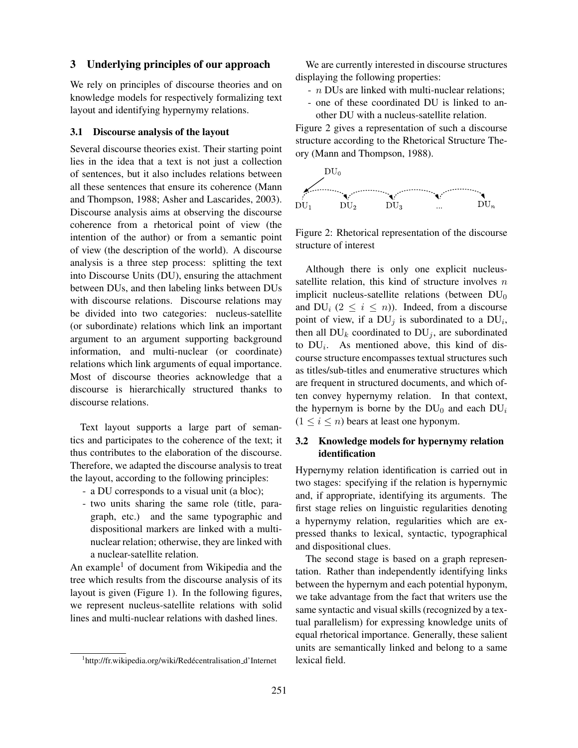### 3 Underlying principles of our approach

We rely on principles of discourse theories and on knowledge models for respectively formalizing text layout and identifying hypernymy relations.

#### 3.1 Discourse analysis of the layout

Several discourse theories exist. Their starting point lies in the idea that a text is not just a collection of sentences, but it also includes relations between all these sentences that ensure its coherence (Mann and Thompson, 1988; Asher and Lascarides, 2003). Discourse analysis aims at observing the discourse coherence from a rhetorical point of view (the intention of the author) or from a semantic point of view (the description of the world). A discourse analysis is a three step process: splitting the text into Discourse Units (DU), ensuring the attachment between DUs, and then labeling links between DUs with discourse relations. Discourse relations may be divided into two categories: nucleus-satellite (or subordinate) relations which link an important argument to an argument supporting background information, and multi-nuclear (or coordinate) relations which link arguments of equal importance. Most of discourse theories acknowledge that a discourse is hierarchically structured thanks to discourse relations.

Text layout supports a large part of semantics and participates to the coherence of the text; it thus contributes to the elaboration of the discourse. Therefore, we adapted the discourse analysis to treat the layout, according to the following principles:

- a DU corresponds to a visual unit (a bloc);
- two units sharing the same role (title, paragraph, etc.) and the same typographic and dispositional markers are linked with a multinuclear relation; otherwise, they are linked with a nuclear-satellite relation.

An example<sup>1</sup> of document from Wikipedia and the tree which results from the discourse analysis of its layout is given (Figure 1). In the following figures, we represent nucleus-satellite relations with solid lines and multi-nuclear relations with dashed lines.

We are currently interested in discourse structures displaying the following properties:

- *n* DUs are linked with multi-nuclear relations;
- one of these coordinated DU is linked to another DU with a nucleus-satellite relation.

Figure 2 gives a representation of such a discourse structure according to the Rhetorical Structure Theory (Mann and Thompson, 1988).



Figure 2: Rhetorical representation of the discourse structure of interest

Although there is only one explicit nucleussatellite relation, this kind of structure involves  $n$ implicit nucleus-satellite relations (between  $DU_0$ and  $DU_i$  ( $2 \leq i \leq n$ )). Indeed, from a discourse point of view, if a  $DU_j$  is subordinated to a  $DU_i$ , then all  $DU_k$  coordinated to  $DU_j$ , are subordinated to  $DU_i$ . As mentioned above, this kind of discourse structure encompasses textual structures such as titles/sub-titles and enumerative structures which are frequent in structured documents, and which often convey hypernymy relation. In that context, the hypernym is borne by the  $DU_0$  and each  $DU_i$  $(1 \le i \le n)$  bears at least one hyponym.

## 3.2 Knowledge models for hypernymy relation identification

Hypernymy relation identification is carried out in two stages: specifying if the relation is hypernymic and, if appropriate, identifying its arguments. The first stage relies on linguistic regularities denoting a hypernymy relation, regularities which are expressed thanks to lexical, syntactic, typographical and dispositional clues.

The second stage is based on a graph representation. Rather than independently identifying links between the hypernym and each potential hyponym, we take advantage from the fact that writers use the same syntactic and visual skills (recognized by a textual parallelism) for expressing knowledge units of equal rhetorical importance. Generally, these salient units are semantically linked and belong to a same lexical field.

<sup>&</sup>lt;sup>1</sup>http://fr.wikipedia.org/wiki/Redécentralisation\_d'Internet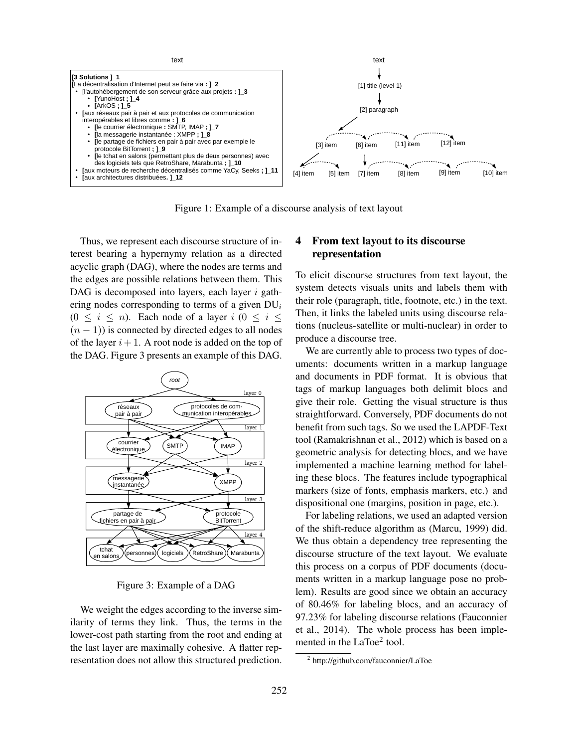

Figure 1: Example of a discourse analysis of text layout

Thus, we represent each discourse structure of interest bearing a hypernymy relation as a directed acyclic graph (DAG), where the nodes are terms and the edges are possible relations between them. This DAG is decomposed into layers, each layer  $i$  gathering nodes corresponding to terms of a given  $DU_i$  $(0 \le i \le n)$ . Each node of a layer  $i$   $(0 \le i \le n)$  $(n - 1)$ ) is connected by directed edges to all nodes of the layer  $i + 1$ . A root node is added on the top of the DAG. Figure 3 presents an example of this DAG.



Figure 3: Example of a DAG

We weight the edges according to the inverse similarity of terms they link. Thus, the terms in the lower-cost path starting from the root and ending at the last layer are maximally cohesive. A flatter representation does not allow this structured prediction.

## 4 From text layout to its discourse representation

To elicit discourse structures from text layout, the system detects visuals units and labels them with their role (paragraph, title, footnote, etc.) in the text. Then, it links the labeled units using discourse relations (nucleus-satellite or multi-nuclear) in order to produce a discourse tree.

We are currently able to process two types of documents: documents written in a markup language and documents in PDF format. It is obvious that tags of markup languages both delimit blocs and give their role. Getting the visual structure is thus straightforward. Conversely, PDF documents do not benefit from such tags. So we used the LAPDF-Text tool (Ramakrishnan et al., 2012) which is based on a geometric analysis for detecting blocs, and we have implemented a machine learning method for labeling these blocs. The features include typographical markers (size of fonts, emphasis markers, etc.) and dispositional one (margins, position in page, etc.).

For labeling relations, we used an adapted version of the shift-reduce algorithm as (Marcu, 1999) did. We thus obtain a dependency tree representing the discourse structure of the text layout. We evaluate this process on a corpus of PDF documents (documents written in a markup language pose no problem). Results are good since we obtain an accuracy of 80.46% for labeling blocs, and an accuracy of 97.23% for labeling discourse relations (Fauconnier et al., 2014). The whole process has been implemented in the  $LaToe<sup>2</sup> tool$ .

<sup>&</sup>lt;sup>2</sup> http://github.com/fauconnier/LaToe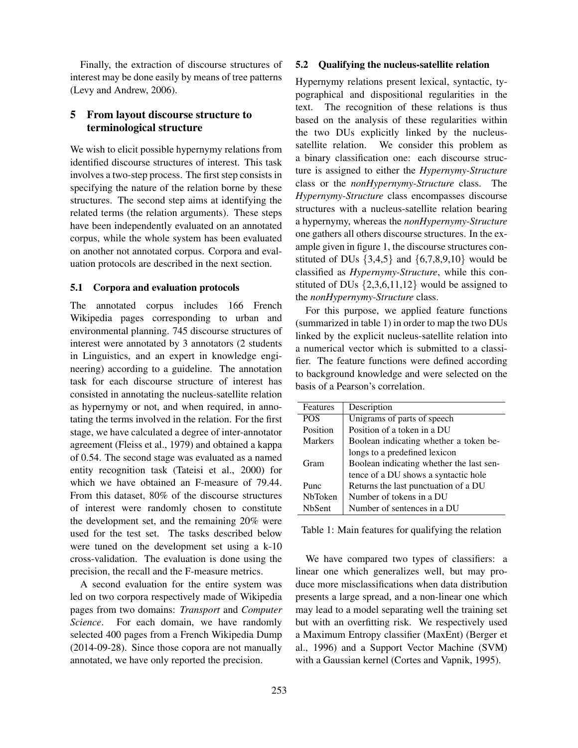Finally, the extraction of discourse structures of interest may be done easily by means of tree patterns (Levy and Andrew, 2006).

## 5 From layout discourse structure to terminological structure

We wish to elicit possible hypernymy relations from identified discourse structures of interest. This task involves a two-step process. The first step consists in specifying the nature of the relation borne by these structures. The second step aims at identifying the related terms (the relation arguments). These steps have been independently evaluated on an annotated corpus, while the whole system has been evaluated on another not annotated corpus. Corpora and evaluation protocols are described in the next section.

### 5.1 Corpora and evaluation protocols

The annotated corpus includes 166 French Wikipedia pages corresponding to urban and environmental planning. 745 discourse structures of interest were annotated by 3 annotators (2 students in Linguistics, and an expert in knowledge engineering) according to a guideline. The annotation task for each discourse structure of interest has consisted in annotating the nucleus-satellite relation as hypernymy or not, and when required, in annotating the terms involved in the relation. For the first stage, we have calculated a degree of inter-annotator agreement (Fleiss et al., 1979) and obtained a kappa of 0.54. The second stage was evaluated as a named entity recognition task (Tateisi et al., 2000) for which we have obtained an F-measure of 79.44. From this dataset, 80% of the discourse structures of interest were randomly chosen to constitute the development set, and the remaining 20% were used for the test set. The tasks described below were tuned on the development set using a k-10 cross-validation. The evaluation is done using the precision, the recall and the F-measure metrics.

A second evaluation for the entire system was led on two corpora respectively made of Wikipedia pages from two domains: *Transport* and *Computer Science*. For each domain, we have randomly selected 400 pages from a French Wikipedia Dump (2014-09-28). Since those copora are not manually annotated, we have only reported the precision.

#### 5.2 Qualifying the nucleus-satellite relation

Hypernymy relations present lexical, syntactic, typographical and dispositional regularities in the text. The recognition of these relations is thus based on the analysis of these regularities within the two DUs explicitly linked by the nucleussatellite relation. We consider this problem as a binary classification one: each discourse structure is assigned to either the *Hypernymy-Structure* class or the *nonHypernymy-Structure* class. The *Hypernymy-Structure* class encompasses discourse structures with a nucleus-satellite relation bearing a hypernymy, whereas the *nonHypernymy-Structure* one gathers all others discourse structures. In the example given in figure 1, the discourse structures constituted of DUs  $\{3,4,5\}$  and  $\{6,7,8,9,10\}$  would be classified as *Hypernymy-Structure*, while this constituted of DUs  $\{2,3,6,11,12\}$  would be assigned to the *nonHypernymy-Structure* class.

For this purpose, we applied feature functions (summarized in table 1) in order to map the two DUs linked by the explicit nucleus-satellite relation into a numerical vector which is submitted to a classifier. The feature functions were defined according to background knowledge and were selected on the basis of a Pearson's correlation.

| <b>Features</b> | Description                              |
|-----------------|------------------------------------------|
| <b>POS</b>      | Unigrams of parts of speech              |
| Position        | Position of a token in a DU              |
| Markers         | Boolean indicating whether a token be-   |
|                 | longs to a predefined lexicon            |
| Gram            | Boolean indicating whether the last sen- |
|                 | tence of a DU shows a syntactic hole     |
| Punc            | Returns the last punctuation of a DU     |
| <b>NbToken</b>  | Number of tokens in a DU                 |
| <b>NbSent</b>   | Number of sentences in a DU              |

Table 1: Main features for qualifying the relation

We have compared two types of classifiers: a linear one which generalizes well, but may produce more misclassifications when data distribution presents a large spread, and a non-linear one which may lead to a model separating well the training set but with an overfitting risk. We respectively used a Maximum Entropy classifier (MaxEnt) (Berger et al., 1996) and a Support Vector Machine (SVM) with a Gaussian kernel (Cortes and Vapnik, 1995).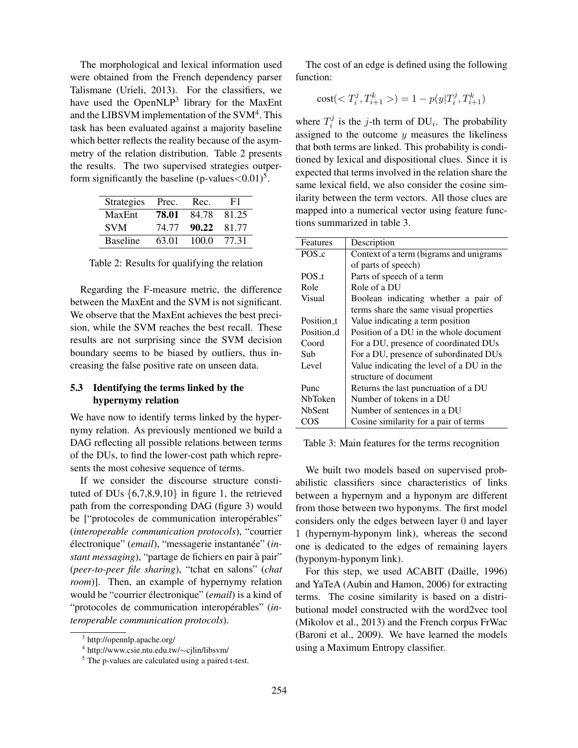The morphological and lexical information used were obtained from the French dependency parser Talismane (Urieli, 2013). For the classifiers, we have used the OpenNLP<sup>3</sup> library for the MaxEnt and the LIBSVM implementation of the SVM $4$ . This task has been evaluated against a majority baseline which better reflects the reality because of the asymmetry of the relation distribution. Table 2 presents the results. The two supervised strategies outperform significantly the baseline (p-values $<$ 0.01)<sup>5</sup>.

| <b>Strategies</b> | Prec. | Rec.        | F1    |
|-------------------|-------|-------------|-------|
| MaxEnt            | 78.01 | 84.78 81.25 |       |
| <b>SVM</b>        | 74.77 | 90.22 81.77 |       |
| <b>Baseline</b>   | 63.01 | 100.0       | 77.31 |

Table 2: Results for qualifying the relation

Regarding the F-measure metric, the difference between the MaxEnt and the SVM is not significant. We observe that the MaxEnt achieves the best precision, while the SVM reaches the best recall. These results are not surprising since the SVM decision boundary seems to be biased by outliers, thus increasing the false positive rate on unseen data.

## 5.3 Identifying the terms linked by the hypernymy relation

We have now to identify terms linked by the hypernymy relation. As previously mentioned we build a DAG reflecting all possible relations between terms of the DUs, to find the lower-cost path which represents the most cohesive sequence of terms.

If we consider the discourse structure constituted of DUs  $\{6,7,8,9,10\}$  in figure 1, the retrieved path from the corresponding DAG (figure 3) would be ["protocoles de communication interopérables" (*interoperable communication protocols*), "courrier électronique" (email), "messagerie instantanée" (in*stant messaging*), "partage de fichiers en pair à pair" (*peer-to-peer file sharing*), "tchat en salons" (*chat room*)]. Then, an example of hypernymy relation would be "courrier électronique" (*email*) is a kind of "protocoles de communication interopérables" (in*teroperable communication protocols*).

The cost of an edge is defined using the following function:

cost(
$$
T_i^j, T_{i+1}^k > ) = 1 - p(y|T_i^j, T_{i+1}^k)
$$

where  $T_i^j$  $i<sup>j</sup>$  is the *j*-th term of DU<sub>i</sub>. The probability assigned to the outcome  $y$  measures the likeliness that both terms are linked. This probability is conditioned by lexical and dispositional clues. Since it is expected that terms involved in the relation share the same lexical field, we also consider the cosine similarity between the term vectors. All those clues are mapped into a numerical vector using feature functions summarized in table 3.

| Features       | Description                               |
|----------------|-------------------------------------------|
| POS c          | Context of a term (bigrams and unigrams   |
|                | of parts of speech)                       |
| $POS_t$        | Parts of speech of a term                 |
| Role           | Role of a DU                              |
| <b>Visual</b>  | Boolean indicating whether a pair of      |
|                | terms share the same visual properties    |
| Position_t     | Value indicating a term position          |
| Position d     | Position of a DU in the whole document    |
| Coord          | For a DU, presence of coordinated DUs     |
| Sub            | For a DU, presence of subordinated DUs    |
| Level          | Value indicating the level of a DU in the |
|                | structure of document                     |
| Punc           | Returns the last punctuation of a DU      |
| <b>NbToken</b> | Number of tokens in a DU                  |
| <b>NbSent</b>  | Number of sentences in a DU               |
| COS            | Cosine similarity for a pair of terms     |

Table 3: Main features for the terms recognition

We built two models based on supervised probabilistic classifiers since characteristics of links between a hypernym and a hyponym are different from those between two hyponyms. The first model considers only the edges between layer 0 and layer 1 (hypernym-hyponym link), whereas the second one is dedicated to the edges of remaining layers (hyponym-hyponym link).

For this step, we used ACABIT (Daille, 1996) and YaTeA (Aubin and Hamon, 2006) for extracting terms. The cosine similarity is based on a distributional model constructed with the word2vec tool (Mikolov et al., 2013) and the French corpus FrWac (Baroni et al., 2009). We have learned the models using a Maximum Entropy classifier.

<sup>3</sup> http://opennlp.apache.org/

<sup>4</sup> http://www.csie.ntu.edu.tw/∼cjlin/libsvm/

<sup>5</sup> The p-values are calculated using a paired t-test.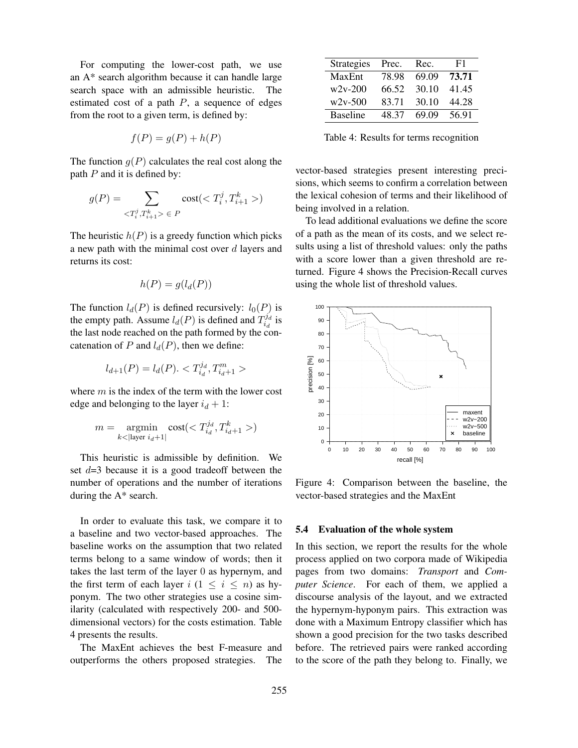For computing the lower-cost path, we use an A\* search algorithm because it can handle large search space with an admissible heuristic. The estimated cost of a path  $P$ , a sequence of edges from the root to a given term, is defined by:

$$
f(P) = g(P) + h(P)
$$

The function  $q(P)$  calculates the real cost along the path  $P$  and it is defined by:

$$
g(P) = \sum_{ \;\in \;P} \text{cost}()
$$

The heuristic  $h(P)$  is a greedy function which picks a new path with the minimal cost over  $d$  layers and returns its cost:

$$
h(P) = g(l_d(P))
$$

The function  $l_d(P)$  is defined recursively:  $l_0(P)$  is the empty path. Assume  $l_d(P)$  is defined and  $T_{i_d}^{j_d}$  $\frac{d}{i_d}$  is the last node reached on the path formed by the concatenation of P and  $l_d(P)$ , then we define:

$$
l_{d+1}(P) = l_d(P). < T_{i_d}^{j_d}, T_{i_d+1}^m > \frac{1}{2} \cdot \frac{1}{2} \cdot \frac{1}{2} \cdot \frac{1}{2} \cdot \frac{1}{2} \cdot \frac{1}{2} \cdot \frac{1}{2} \cdot \frac{1}{2} \cdot \frac{1}{2} \cdot \frac{1}{2} \cdot \frac{1}{2} \cdot \frac{1}{2} \cdot \frac{1}{2} \cdot \frac{1}{2} \cdot \frac{1}{2} \cdot \frac{1}{2} \cdot \frac{1}{2} \cdot \frac{1}{2} \cdot \frac{1}{2} \cdot \frac{1}{2} \cdot \frac{1}{2} \cdot \frac{1}{2} \cdot \frac{1}{2} \cdot \frac{1}{2} \cdot \frac{1}{2} \cdot \frac{1}{2} \cdot \frac{1}{2} \cdot \frac{1}{2} \cdot \frac{1}{2} \cdot \frac{1}{2} \cdot \frac{1}{2} \cdot \frac{1}{2} \cdot \frac{1}{2} \cdot \frac{1}{2} \cdot \frac{1}{2} \cdot \frac{1}{2} \cdot \frac{1}{2} \cdot \frac{1}{2} \cdot \frac{1}{2} \cdot \frac{1}{2} \cdot \frac{1}{2} \cdot \frac{1}{2} \cdot \frac{1}{2} \cdot \frac{1}{2} \cdot \frac{1}{2} \cdot \frac{1}{2} \cdot \frac{1}{2} \cdot \frac{1}{2} \cdot \frac{1}{2} \cdot \frac{1}{2} \cdot \frac{1}{2} \cdot \frac{1}{2} \cdot \frac{1}{2} \cdot \frac{1}{2} \cdot \frac{1}{2} \cdot \frac{1}{2} \cdot \frac{1}{2} \cdot \frac{1}{2} \cdot \frac{1}{2} \cdot \frac{1}{2} \cdot \frac{1}{2} \cdot \frac{1}{2} \cdot \frac{1}{2} \cdot \frac{1}{2} \cdot \frac{1}{2} \cdot \frac{1}{2} \cdot \frac{1}{2} \cdot \frac{1}{2} \cdot \frac{1}{2} \cdot \frac{1}{2} \cdot \frac{1}{2} \cdot \frac{1}{2} \cdot \frac{1}{2} \cdot \frac{1}{2} \cdot \frac{1}{2} \cdot \frac{1}{2} \cdot \frac{1}{2} \cdot \frac{1}{2} \cdot \frac{1}{2} \cdot \frac{1}{2} \cdot \frac
$$

where  $m$  is the index of the term with the lower cost edge and belonging to the layer  $i_d + 1$ :

$$
m = \underset{k < |\text{layer } i_d + 1|}{\text{argmin}} \text{cost}(\langle T_{i_d}^{j_d}, T_{i_d + 1}^k \rangle)
$$

This heuristic is admissible by definition. We set  $d=3$  because it is a good tradeoff between the number of operations and the number of iterations during the A\* search.

In order to evaluate this task, we compare it to a baseline and two vector-based approaches. The baseline works on the assumption that two related terms belong to a same window of words; then it takes the last term of the layer 0 as hypernym, and the first term of each layer  $i$  ( $1 \le i \le n$ ) as hyponym. The two other strategies use a cosine similarity (calculated with respectively 200- and 500 dimensional vectors) for the costs estimation. Table 4 presents the results.

The MaxEnt achieves the best F-measure and outperforms the others proposed strategies. The

| <b>Strategies</b> | Prec. | Rec.  | F1    |
|-------------------|-------|-------|-------|
| MaxEnt            | 78.98 | 69.09 | 73.71 |
| $w2v-200$         | 66.52 | 30.10 | 41.45 |
| $w2v-500$         | 83.71 | 30.10 | 44.28 |
| <b>Baseline</b>   | 48 37 | 69.09 | 56.91 |

Table 4: Results for terms recognition

vector-based strategies present interesting precisions, which seems to confirm a correlation between the lexical cohesion of terms and their likelihood of being involved in a relation.

To lead additional evaluations we define the score of a path as the mean of its costs, and we select results using a list of threshold values: only the paths with a score lower than a given threshold are returned. Figure 4 shows the Precision-Recall curves using the whole list of threshold values.



Figure 4: Comparison between the baseline, the vector-based strategies and the MaxEnt

### 5.4 Evaluation of the whole system

In this section, we report the results for the whole process applied on two corpora made of Wikipedia pages from two domains: *Transport* and *Computer Science*. For each of them, we applied a discourse analysis of the layout, and we extracted the hypernym-hyponym pairs. This extraction was done with a Maximum Entropy classifier which has shown a good precision for the two tasks described before. The retrieved pairs were ranked according to the score of the path they belong to. Finally, we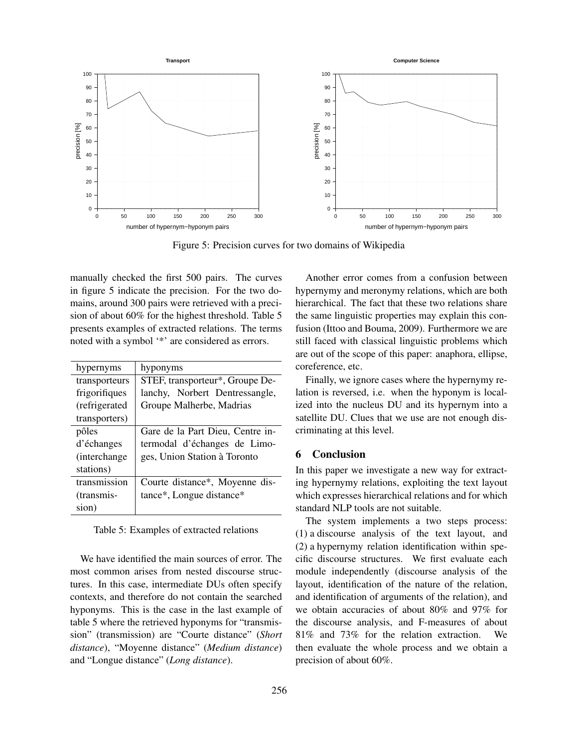

Figure 5: Precision curves for two domains of Wikipedia

manually checked the first 500 pairs. The curves in figure 5 indicate the precision. For the two domains, around 300 pairs were retrieved with a precision of about 60% for the highest threshold. Table 5 presents examples of extracted relations. The terms noted with a symbol '\*' are considered as errors.

| hypernyms      | hyponyms                         |
|----------------|----------------------------------|
| transporteurs  | STEF, transporteur*, Groupe De-  |
| frigorifiques  | lanchy, Norbert Dentressangle,   |
| (refrigerated) | Groupe Malherbe, Madrias         |
| transporters)  |                                  |
| pôles          | Gare de la Part Dieu, Centre in- |
| d'échanges     | termodal d'échanges de Limo-     |
| (interchange)  | ges, Union Station à Toronto     |
| stations)      |                                  |
| transmission   | Courte distance*, Moyenne dis-   |
| (transmis-     | tance*, Longue distance*         |
| sion)          |                                  |

### Table 5: Examples of extracted relations

We have identified the main sources of error. The most common arises from nested discourse structures. In this case, intermediate DUs often specify contexts, and therefore do not contain the searched hyponyms. This is the case in the last example of table 5 where the retrieved hyponyms for "transmission" (transmission) are "Courte distance" (*Short distance*), "Moyenne distance" (*Medium distance*) and "Longue distance" (*Long distance*).

Another error comes from a confusion between hypernymy and meronymy relations, which are both hierarchical. The fact that these two relations share the same linguistic properties may explain this confusion (Ittoo and Bouma, 2009). Furthermore we are still faced with classical linguistic problems which are out of the scope of this paper: anaphora, ellipse, coreference, etc.

Finally, we ignore cases where the hypernymy relation is reversed, i.e. when the hyponym is localized into the nucleus DU and its hypernym into a satellite DU. Clues that we use are not enough discriminating at this level.

### 6 Conclusion

In this paper we investigate a new way for extracting hypernymy relations, exploiting the text layout which expresses hierarchical relations and for which standard NLP tools are not suitable.

The system implements a two steps process: (1) a discourse analysis of the text layout, and (2) a hypernymy relation identification within specific discourse structures. We first evaluate each module independently (discourse analysis of the layout, identification of the nature of the relation, and identification of arguments of the relation), and we obtain accuracies of about 80% and 97% for the discourse analysis, and F-measures of about 81% and 73% for the relation extraction. We then evaluate the whole process and we obtain a precision of about 60%.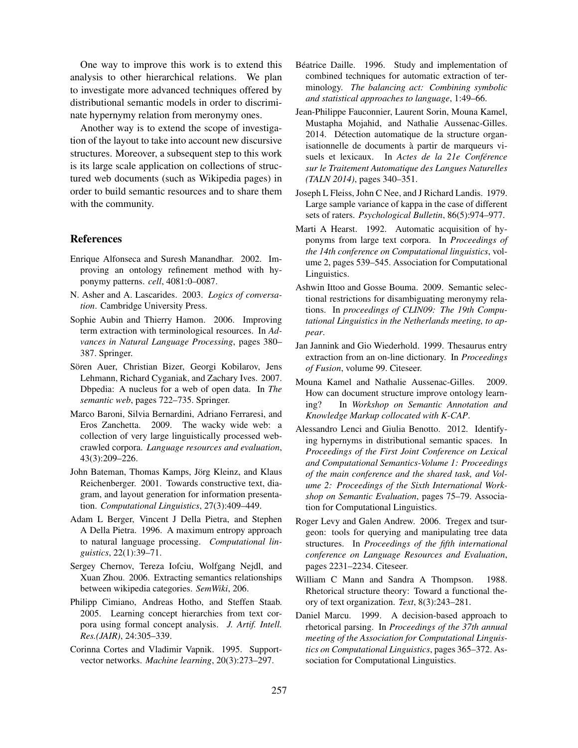One way to improve this work is to extend this analysis to other hierarchical relations. We plan to investigate more advanced techniques offered by distributional semantic models in order to discriminate hypernymy relation from meronymy ones.

Another way is to extend the scope of investigation of the layout to take into account new discursive structures. Moreover, a subsequent step to this work is its large scale application on collections of structured web documents (such as Wikipedia pages) in order to build semantic resources and to share them with the community.

### References

- Enrique Alfonseca and Suresh Manandhar. 2002. Improving an ontology refinement method with hyponymy patterns. *cell*, 4081:0–0087.
- N. Asher and A. Lascarides. 2003. *Logics of conversation*. Cambridge University Press.
- Sophie Aubin and Thierry Hamon. 2006. Improving term extraction with terminological resources. In *Advances in Natural Language Processing*, pages 380– 387. Springer.
- Sören Auer, Christian Bizer, Georgi Kobilarov, Jens Lehmann, Richard Cyganiak, and Zachary Ives. 2007. Dbpedia: A nucleus for a web of open data. In *The semantic web*, pages 722–735. Springer.
- Marco Baroni, Silvia Bernardini, Adriano Ferraresi, and Eros Zanchetta. 2009. The wacky wide web: a collection of very large linguistically processed webcrawled corpora. *Language resources and evaluation*, 43(3):209–226.
- John Bateman, Thomas Kamps, Jörg Kleinz, and Klaus Reichenberger. 2001. Towards constructive text, diagram, and layout generation for information presentation. *Computational Linguistics*, 27(3):409–449.
- Adam L Berger, Vincent J Della Pietra, and Stephen A Della Pietra. 1996. A maximum entropy approach to natural language processing. *Computational linguistics*, 22(1):39–71.
- Sergey Chernov, Tereza Iofciu, Wolfgang Nejdl, and Xuan Zhou. 2006. Extracting semantics relationships between wikipedia categories. *SemWiki*, 206.
- Philipp Cimiano, Andreas Hotho, and Steffen Staab. 2005. Learning concept hierarchies from text corpora using formal concept analysis. *J. Artif. Intell. Res.(JAIR)*, 24:305–339.
- Corinna Cortes and Vladimir Vapnik. 1995. Supportvector networks. *Machine learning*, 20(3):273–297.
- Béatrice Daille. 1996. Study and implementation of combined techniques for automatic extraction of terminology. *The balancing act: Combining symbolic and statistical approaches to language*, 1:49–66.
- Jean-Philippe Fauconnier, Laurent Sorin, Mouna Kamel, Mustapha Mojahid, and Nathalie Aussenac-Gilles. 2014. Détection automatique de la structure organisationnelle de documents à partir de marqueurs visuels et lexicaux. In *Actes de la 21e Conference ´ sur le Traitement Automatique des Langues Naturelles (TALN 2014)*, pages 340–351.
- Joseph L Fleiss, John C Nee, and J Richard Landis. 1979. Large sample variance of kappa in the case of different sets of raters. *Psychological Bulletin*, 86(5):974–977.
- Marti A Hearst. 1992. Automatic acquisition of hyponyms from large text corpora. In *Proceedings of the 14th conference on Computational linguistics*, volume 2, pages 539–545. Association for Computational Linguistics.
- Ashwin Ittoo and Gosse Bouma. 2009. Semantic selectional restrictions for disambiguating meronymy relations. In *proceedings of CLIN09: The 19th Computational Linguistics in the Netherlands meeting, to appear*.
- Jan Jannink and Gio Wiederhold. 1999. Thesaurus entry extraction from an on-line dictionary. In *Proceedings of Fusion*, volume 99. Citeseer.
- Mouna Kamel and Nathalie Aussenac-Gilles. 2009. How can document structure improve ontology learning? In *Workshop on Semantic Annotation and Knowledge Markup collocated with K-CAP*.
- Alessandro Lenci and Giulia Benotto. 2012. Identifying hypernyms in distributional semantic spaces. In *Proceedings of the First Joint Conference on Lexical and Computational Semantics-Volume 1: Proceedings of the main conference and the shared task, and Volume 2: Proceedings of the Sixth International Workshop on Semantic Evaluation*, pages 75–79. Association for Computational Linguistics.
- Roger Levy and Galen Andrew. 2006. Tregex and tsurgeon: tools for querying and manipulating tree data structures. In *Proceedings of the fifth international conference on Language Resources and Evaluation*, pages 2231–2234. Citeseer.
- William C Mann and Sandra A Thompson. 1988. Rhetorical structure theory: Toward a functional theory of text organization. *Text*, 8(3):243–281.
- Daniel Marcu. 1999. A decision-based approach to rhetorical parsing. In *Proceedings of the 37th annual meeting of the Association for Computational Linguistics on Computational Linguistics*, pages 365–372. Association for Computational Linguistics.